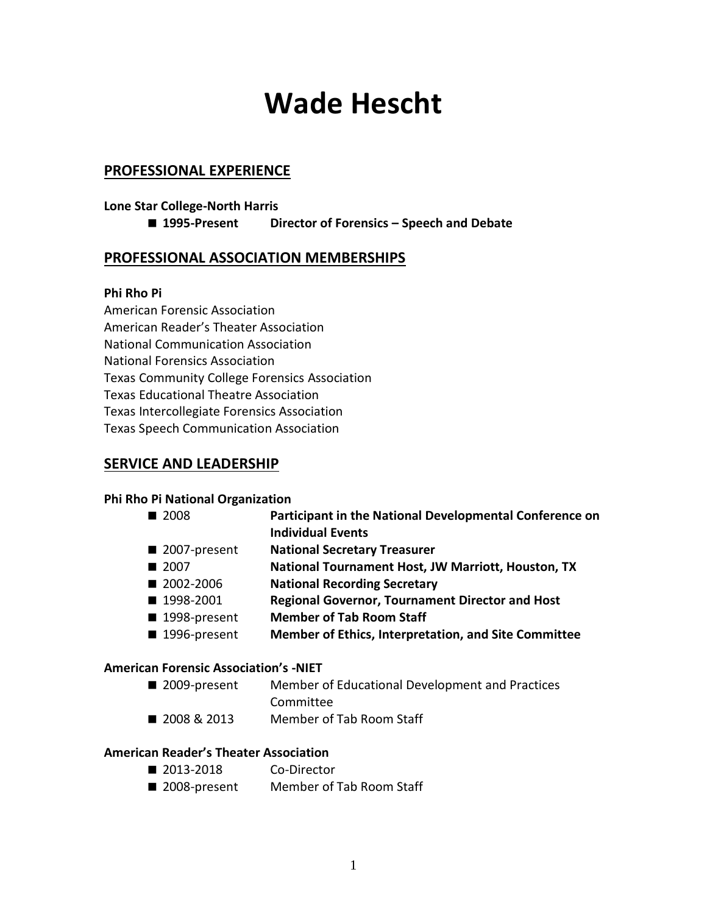# **Wade Hescht**

## **PROFESSIONAL EXPERIENCE**

## **Lone Star College-North Harris**

**1995-Present Director of Forensics – Speech and Debate**

## **PROFESSIONAL ASSOCIATION MEMBERSHIPS**

### **Phi Rho Pi**

American Forensic Association American Reader's Theater Association National Communication Association National Forensics Association Texas Community College Forensics Association Texas Educational Theatre Association Texas Intercollegiate Forensics Association Texas Speech Communication Association

## **SERVICE AND LEADERSHIP**

#### **Phi Rho Pi National Organization**

- 2008 **Participant in the National Developmental Conference on Individual Events**
- 2007-present **National Secretary Treasurer**
- 2007 **National Tournament Host, JW Marriott, Houston, TX**
- 2002-2006 **National Recording Secretary**
- 1998-2001 **Regional Governor, Tournament Director and Host**
- 1998-present **Member of Tab Room Staff**
- 1996-present **Member of Ethics, Interpretation, and Site Committee**

#### **American Forensic Association's -NIET**

- 2009-present Member of Educational Development and Practices
	- Committee
- 2008 & 2013 Member of Tab Room Staff

#### **American Reader's Theater Association**

- 2013-2018 Co-Director
- 2008-present Member of Tab Room Staff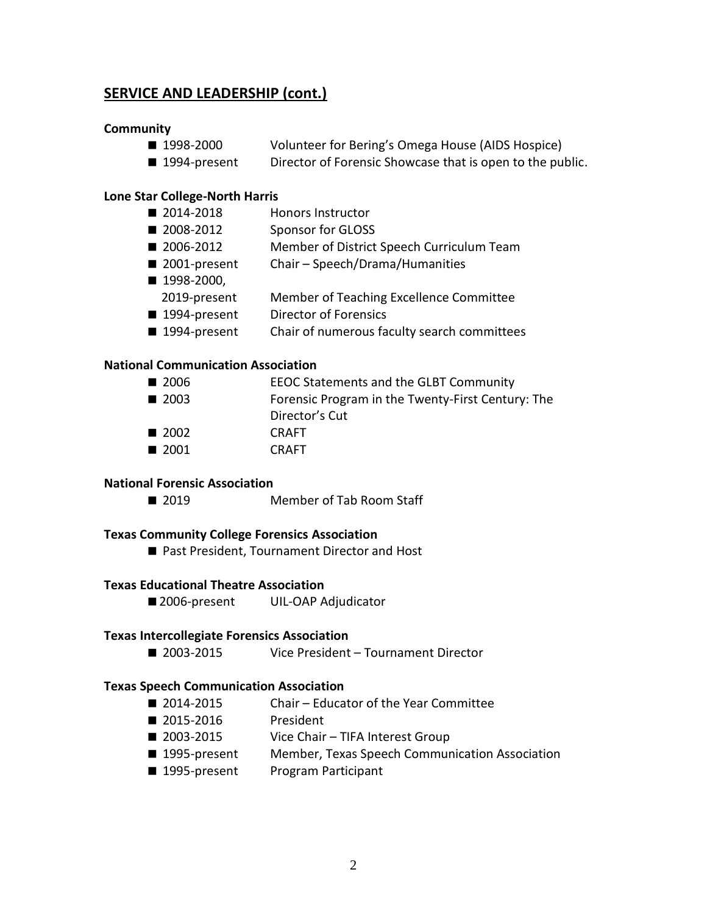# **SERVICE AND LEADERSHIP (cont.)**

#### **Community**

- 1998-2000 Volunteer for Bering's Omega House (AIDS Hospice)
- 1994-present Director of Forensic Showcase that is open to the public.

#### **Lone Star College-North Harris**

- 2014-2018 Honors Instructor
- 2008-2012 Sponsor for GLOSS
- 2006-2012 Member of District Speech Curriculum Team
- 2001-present Chair Speech/Drama/Humanities
- 1998-2000, 2019-present Member of Teaching Excellence Committee
- 1994-present Director of Forensics
- 1994-present Chair of numerous faculty search committees

#### **National Communication Association**

- 2006 EEOC Statements and the GLBT Community
- 2003 Forensic Program in the Twenty-First Century: The Director's Cut
- 2002 CRAFT
- 2001 CRAFT

#### **National Forensic Association**

■ 2019 Member of Tab Room Staff

#### **Texas Community College Forensics Association**

■ Past President, Tournament Director and Host

#### **Texas Educational Theatre Association**

■ 2006-present UIL-OAP Adjudicator

#### **Texas Intercollegiate Forensics Association**

■ 2003-2015 Vice President – Tournament Director

#### **Texas Speech Communication Association**

- 2014-2015 Chair Educator of the Year Committee
- 2015-2016 President
- 2003-2015 Vice Chair TIFA Interest Group
- 1995-present Member, Texas Speech Communication Association
- 1995-present Program Participant